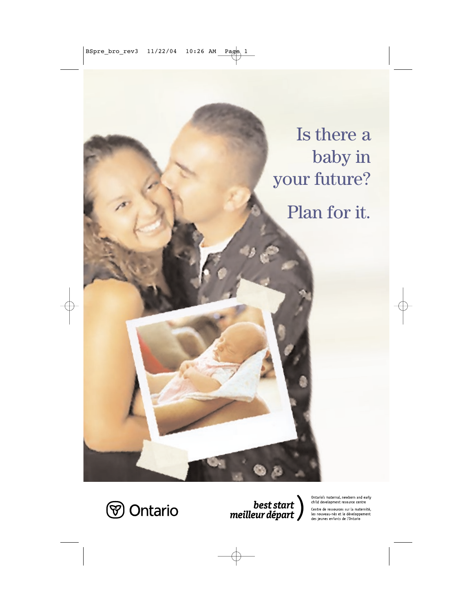Is there a baby in your future? Plan for it.



 $\left.\rule{0pt}{2.5cm}\right) \begin{array}{c} best\, start \\ meilleur\, depart \end{array}\right)$ 

Ontario's maternal, newborn and early child development resource centre

Centre de ressources sur la maternité, les nouveau-nés et le développement des jeunes enfants de l'Ontario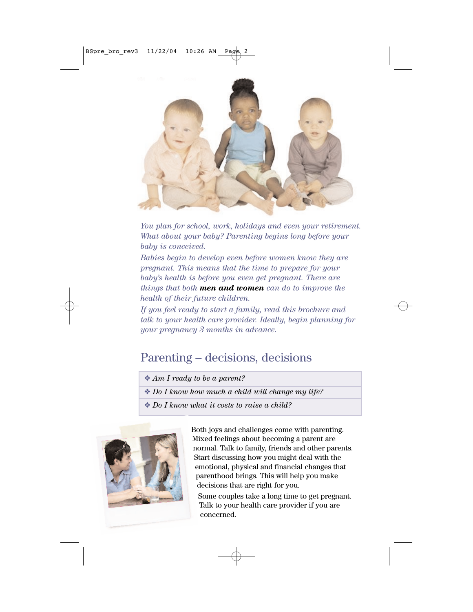

*You plan for school, work, holidays and even your retirement. What about your baby? Parenting begins long before your baby is conceived.* 

*Babies begin to develop even before women know they are pregnant. This means that the time to prepare for your baby's health is before you even get pregnant. There are things that both men and women can do to improve the health of their future children.* 

*If you feel ready to start a family, read this brochure and talk to your health care provider. Ideally, begin planning for your pregnancy 3 months in advance.*

# Parenting – decisions, decisions

- ❖ *Am I ready to be a parent?*
- ❖ *Do I know how much a child will change my life?*
- ❖ *Do I know what it costs to raise a child?*



Both joys and challenges come with parenting. Mixed feelings about becoming a parent are normal. Talk to family, friends and other parents. Start discussing how you might deal with the emotional, physical and financial changes that parenthood brings. This will help you make decisions that are right for you.

Some couples take a long time to get pregnant. Talk to your health care provider if you are concerned.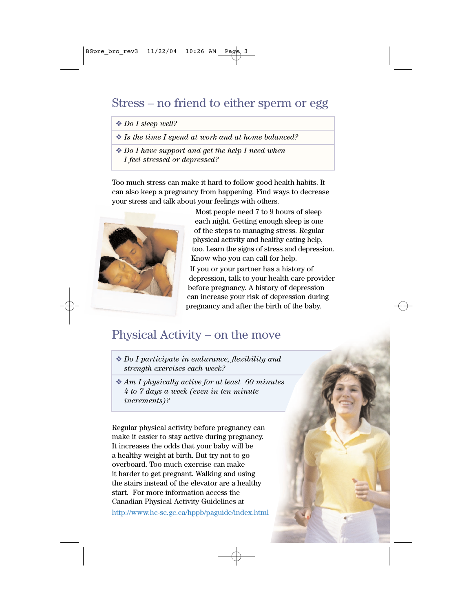### Stress – no friend to either sperm or egg

#### ❖ *Do I sleep well?*

❖ *Is the time I spend at work and at home balanced?* 

❖ *Do I have support and get the help I need when I feel stressed or depressed?* 

Too much stress can make it hard to follow good health habits. It can also keep a pregnancy from happening. Find ways to decrease your stress and talk about your feelings with others.



Most people need 7 to 9 hours of sleep each night. Getting enough sleep is one of the steps to managing stress. Regular physical activity and healthy eating help, too. Learn the signs of stress and depression. Know who you can call for help.

If you or your partner has a history of depression, talk to your health care provider before pregnancy. A history of depression can increase your risk of depression during pregnancy and after the birth of the baby.

### Physical Activity – on the move

- ❖ *Do I participate in endurance, flexibility and strength exercises each week?*
- ❖ *Am I physically active for at least 60 minutes 4 to 7 days a week (even in ten minute increments)?*

Regular physical activity before pregnancy can make it easier to stay active during pregnancy. It increases the odds that your baby will be a healthy weight at birth. But try not to go overboard. Too much exercise can make it harder to get pregnant. Walking and using the stairs instead of the elevator are a healthy start. For more information access the Canadian Physical Activity Guidelines at http://www.hc-sc.gc.ca/hppb/paguide/index.html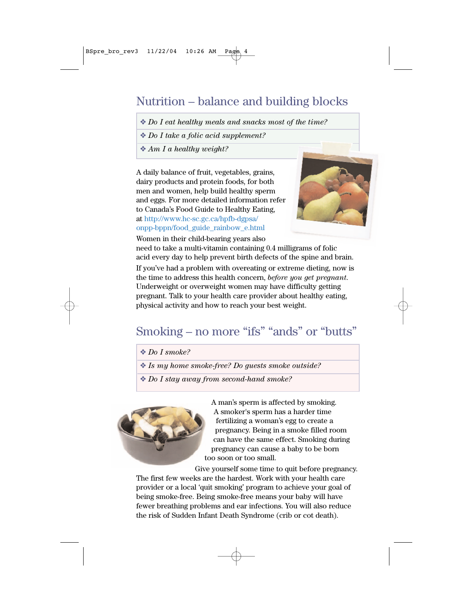# Nutrition – balance and building blocks

❖ *Do I eat healthy meals and snacks most of the time?*

❖ *Do I take a folic acid supplement?* 

❖ *Am I a healthy weight?*

A daily balance of fruit, vegetables, grains, dairy products and protein foods, for both men and women, help build healthy sperm and eggs. For more detailed information refer to Canada's Food Guide to Healthy Eating, at http://www.hc-sc.gc.ca/hpfb-dgpsa/ onpp-bppn/food\_guide\_rainbow\_e.html



Women in their child-bearing years also need to take a multi-vitamin containing 0.4 milligrams of folic acid every day to help prevent birth defects of the spine and brain. If you've had a problem with overeating or extreme dieting, now is the time to address this health concern, *before you get pregnant*. Underweight or overweight women may have difficulty getting pregnant. Talk to your health care provider about healthy eating, physical activity and how to reach your best weight.

# Smoking – no more "ifs" "ands" or "butts"

- ❖ *Do I smoke?*
- ❖ *Is my home smoke-free? Do guests smoke outside?*
- ❖ *Do I stay away from second-hand smoke?*



A man's sperm is affected by smoking. A smoker's sperm has a harder time fertilizing a woman's egg to create a pregnancy. Being in a smoke filled room can have the same effect. Smoking during pregnancy can cause a baby to be born too soon or too small.

Give yourself some time to quit before pregnancy. The first few weeks are the hardest. Work with your health care provider or a local 'quit smoking' program to achieve your goal of being smoke-free. Being smoke-free means your baby will have fewer breathing problems and ear infections. You will also reduce the risk of Sudden Infant Death Syndrome (crib or cot death).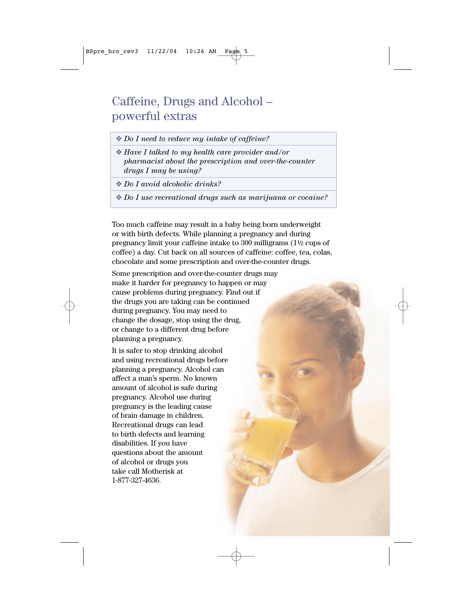## Caffeine, Drugs and Alcohol – powerful extras

- ❖ *Do I need to reduce my intake of caffeine?*
- ❖ *Have I talked to my health care provider and/or pharmacist about the prescription and over-the-counter drugs I may be using?*
- ❖ *Do I avoid alcoholic drinks?*
- ❖ *Do I use recreational drugs such as marijuana or cocaine?*

Too much caffeine may result in a baby being born underweight or with birth defects. While planning a pregnancy and during pregnancy limit your caffeine intake to 300 milligrams  $(1<sup>1</sup>/<sub>2</sub>$  cups of coffee) a day. Cut back on all sources of caffeine: coffee, tea, colas, chocolate and some prescription and over-the-counter drugs.

Some prescription and over-the-counter drugs may make it harder for pregnancy to happen or may cause problems during pregnancy. Find out if the drugs you are taking can be continued during pregnancy. You may need to change the dosage, stop using the drug, or change to a different drug before planning a pregnancy.

It is safer to stop drinking alcohol and using recreational drugs before planning a pregnancy. Alcohol can affect a man's sperm. No known amount of alcohol is safe during pregnancy. Alcohol use during pregnancy is the leading cause of brain damage in children. Recreational drugs can lead to birth defects and learning disabilities. If you have questions about the amount of alcohol or drugs you take call Motherisk at 1-877-327-4636.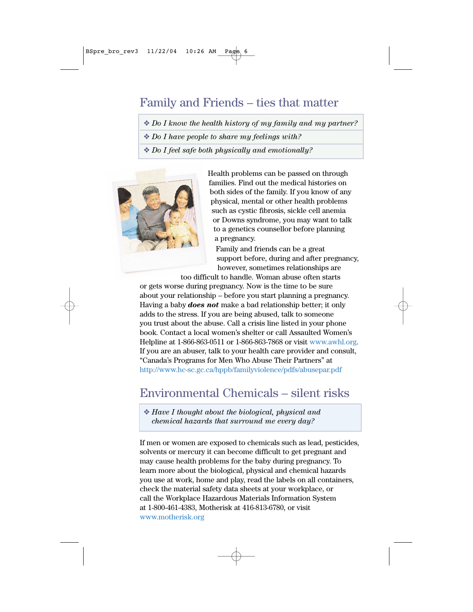## Family and Friends – ties that matter

❖ *Do I know the health history of my family and my partner?* 

❖ *Do I have people to share my feelings with?* 

❖ *Do I feel safe both physically and emotionally?* 



Health problems can be passed on through families. Find out the medical histories on both sides of the family. If you know of any physical, mental or other health problems such as cystic fibrosis, sickle cell anemia or Downs syndrome, you may want to talk to a genetics counsellor before planning a pregnancy.

Family and friends can be a great support before, during and after pregnancy, however, sometimes relationships are

too difficult to handle. Woman abuse often starts or gets worse during pregnancy. Now is the time to be sure about your relationship – before you start planning a pregnancy. Having a baby *does not* make a bad relationship better; it only adds to the stress. If you are being abused, talk to someone you trust about the abuse. Call a crisis line listed in your phone book. Contact a local women's shelter or call Assaulted Women's Helpline at 1-866-863-0511 or 1-866-863-7868 or visit www.awhl.org. If you are an abuser, talk to your health care provider and consult, "Canada's Programs for Men Who Abuse Their Partners" at http://www.hc-sc.gc.ca/hppb/familyviolence/pdfs/abusepar.pdf

# Environmental Chemicals – silent risks

❖ *Have I thought about the biological, physical and chemical hazards that surround me every day?* 

If men or women are exposed to chemicals such as lead, pesticides, solvents or mercury it can become difficult to get pregnant and may cause health problems for the baby during pregnancy. To learn more about the biological, physical and chemical hazards you use at work, home and play, read the labels on all containers, check the material safety data sheets at your workplace, or call the Workplace Hazardous Materials Information System at 1-800-461-4383, Motherisk at 416-813-6780, or visit www.motherisk.org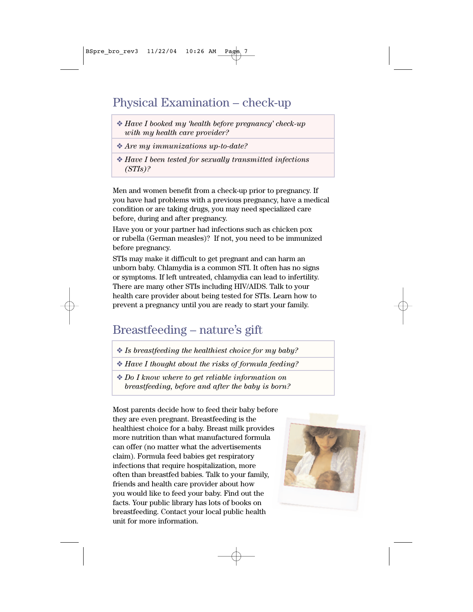# Physical Examination – check-up

- ❖ *Have I booked my 'health before pregnancy' check-up with my health care provider?*
- ❖ *Are my immunizations up-to-date?*
- ❖ *Have I been tested for sexually transmitted infections (STIs)?*

Men and women benefit from a check-up prior to pregnancy. If you have had problems with a previous pregnancy, have a medical condition or are taking drugs, you may need specialized care before, during and after pregnancy.

Have you or your partner had infections such as chicken pox or rubella (German measles)? If not, you need to be immunized before pregnancy.

STIs may make it difficult to get pregnant and can harm an unborn baby. Chlamydia is a common STI. It often has no signs or symptoms. If left untreated, chlamydia can lead to infertility. There are many other STIs including HIV/AIDS. Talk to your health care provider about being tested for STIs. Learn how to prevent a pregnancy until you are ready to start your family.

# Breastfeeding – nature's gift

- ❖ *Is breastfeeding the healthiest choice for my baby?*
- ❖ *Have I thought about the risks of formula feeding?*
- ❖ *Do I know where to get reliable information on breastfeeding, before and after the baby is born?*

Most parents decide how to feed their baby before they are even pregnant. Breastfeeding is the healthiest choice for a baby. Breast milk provides more nutrition than what manufactured formula can offer (no matter what the advertisements claim). Formula feed babies get respiratory infections that require hospitalization, more often than breastfed babies. Talk to your family, friends and health care provider about how you would like to feed your baby. Find out the facts. Your public library has lots of books on breastfeeding. Contact your local public health unit for more information.